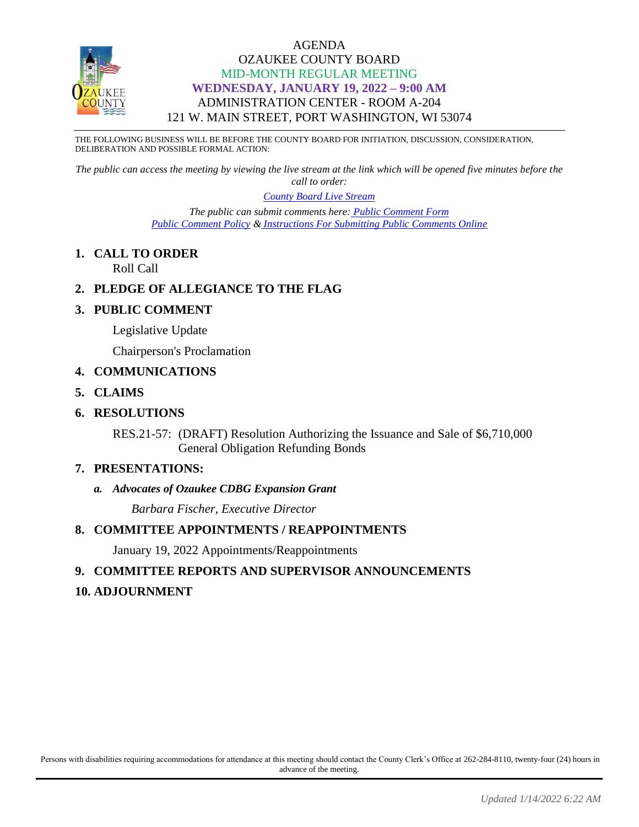

## AGENDA OZAUKEE COUNTY BOARD MID-MONTH REGULAR MEETING **WEDNESDAY, JANUARY 19, 2022 – 9:00 AM** ADMINISTRATION CENTER - ROOM A-204 121 W. MAIN STREET, PORT WASHINGTON, WI 53074

THE FOLLOWING BUSINESS WILL BE BEFORE THE COUNTY BOARD FOR INITIATION, DISCUSSION, CONSIDERATION, DELIBERATION AND POSSIBLE FORMAL ACTION:

*The public can access the meeting by viewing the live stream at the link which will be opened five minutes before the call to order:*

> *[County Board Live Stream](https://www.youtube.com/channel/UCQ16yLTEJmJo_h02WDDqcqg) The public can submit comments here: [Public Comment Form](https://www.co.ozaukee.wi.us/FormCenter/Email-Forms-28/Email-Public-Comment-300) [Public Comment Policy](https://www.co.ozaukee.wi.us/2663/Public-Comments-at-In-Person-Meetings) & [Instructions For Submitting Public Comments Online](https://www.co.ozaukee.wi.us/2645/Public-Comments-at-Zoom-Meetings)*

**1. CALL TO ORDER** Roll Call

# **2. PLEDGE OF ALLEGIANCE TO THE FLAG**

# **3. PUBLIC COMMENT**

Legislative Update

Chairperson's Proclamation

## **4. COMMUNICATIONS**

- **5. CLAIMS**
- **6. RESOLUTIONS**

RES.21-57: (DRAFT) Resolution Authorizing the Issuance and Sale of \$6,710,000 General Obligation Refunding Bonds

#### **7. PRESENTATIONS:**

#### *a. Advocates of Ozaukee CDBG Expansion Grant*

*Barbara Fischer, Executive Director* 

#### **8. COMMITTEE APPOINTMENTS / REAPPOINTMENTS**

January 19, 2022 Appointments/Reappointments

# **9. COMMITTEE REPORTS AND SUPERVISOR ANNOUNCEMENTS**

# **10. ADJOURNMENT**

Persons with disabilities requiring accommodations for attendance at this meeting should contact the County Clerk's Office at 262-284-8110, twenty-four (24) hours in advance of the meeting.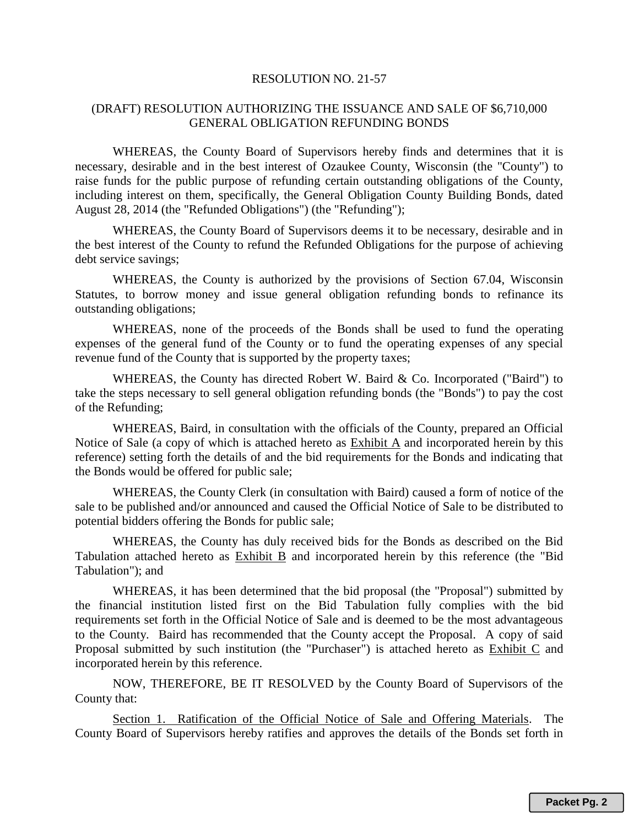#### RESOLUTION NO. 21-57

#### (DRAFT) RESOLUTION AUTHORIZING THE ISSUANCE AND SALE OF \$6,710,000 GENERAL OBLIGATION REFUNDING BONDS

WHEREAS, the County Board of Supervisors hereby finds and determines that it is necessary, desirable and in the best interest of Ozaukee County, Wisconsin (the "County") to raise funds for the public purpose of refunding certain outstanding obligations of the County, including interest on them, specifically, the General Obligation County Building Bonds, dated August 28, 2014 (the "Refunded Obligations") (the "Refunding");

WHEREAS, the County Board of Supervisors deems it to be necessary, desirable and in the best interest of the County to refund the Refunded Obligations for the purpose of achieving debt service savings;

WHEREAS, the County is authorized by the provisions of Section 67.04, Wisconsin Statutes, to borrow money and issue general obligation refunding bonds to refinance its outstanding obligations;

WHEREAS, none of the proceeds of the Bonds shall be used to fund the operating expenses of the general fund of the County or to fund the operating expenses of any special revenue fund of the County that is supported by the property taxes;

WHEREAS, the County has directed Robert W. Baird & Co. Incorporated ("Baird") to take the steps necessary to sell general obligation refunding bonds (the "Bonds") to pay the cost of the Refunding;

WHEREAS, Baird, in consultation with the officials of the County, prepared an Official Notice of Sale (a copy of which is attached hereto as Exhibit A and incorporated herein by this reference) setting forth the details of and the bid requirements for the Bonds and indicating that the Bonds would be offered for public sale;

WHEREAS, the County Clerk (in consultation with Baird) caused a form of notice of the sale to be published and/or announced and caused the Official Notice of Sale to be distributed to potential bidders offering the Bonds for public sale;

WHEREAS, the County has duly received bids for the Bonds as described on the Bid Tabulation attached hereto as Exhibit B and incorporated herein by this reference (the "Bid Tabulation"); and

WHEREAS, it has been determined that the bid proposal (the "Proposal") submitted by the financial institution listed first on the Bid Tabulation fully complies with the bid requirements set forth in the Official Notice of Sale and is deemed to be the most advantageous to the County. Baird has recommended that the County accept the Proposal. A copy of said Proposal submitted by such institution (the "Purchaser") is attached hereto as Exhibit C and incorporated herein by this reference.

NOW, THEREFORE, BE IT RESOLVED by the County Board of Supervisors of the County that:

Section 1. Ratification of the Official Notice of Sale and Offering Materials. The County Board of Supervisors hereby ratifies and approves the details of the Bonds set forth in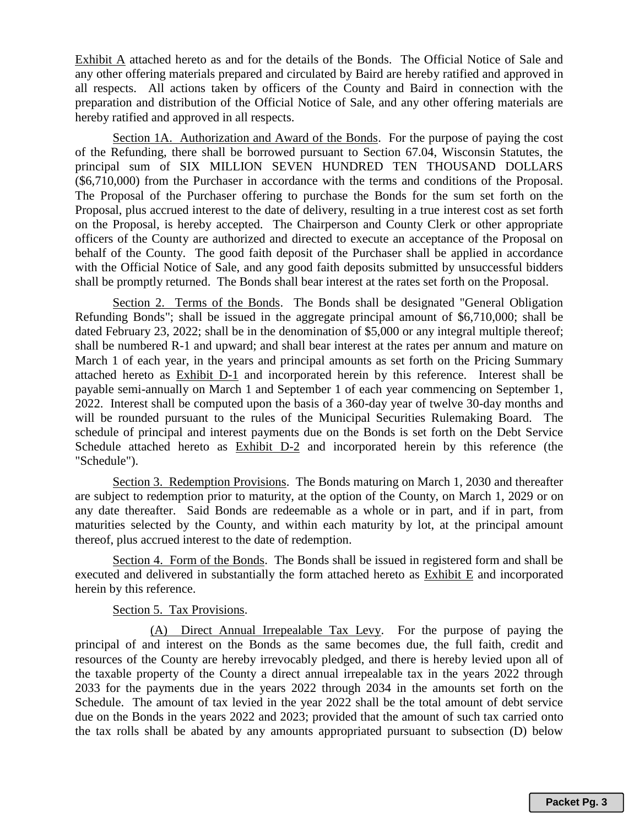Exhibit A attached hereto as and for the details of the Bonds. The Official Notice of Sale and any other offering materials prepared and circulated by Baird are hereby ratified and approved in all respects. All actions taken by officers of the County and Baird in connection with the preparation and distribution of the Official Notice of Sale, and any other offering materials are hereby ratified and approved in all respects.

Section 1A. Authorization and Award of the Bonds. For the purpose of paying the cost of the Refunding, there shall be borrowed pursuant to Section 67.04, Wisconsin Statutes, the principal sum of SIX MILLION SEVEN HUNDRED TEN THOUSAND DOLLARS (\$6,710,000) from the Purchaser in accordance with the terms and conditions of the Proposal. The Proposal of the Purchaser offering to purchase the Bonds for the sum set forth on the Proposal, plus accrued interest to the date of delivery, resulting in a true interest cost as set forth on the Proposal, is hereby accepted. The Chairperson and County Clerk or other appropriate officers of the County are authorized and directed to execute an acceptance of the Proposal on behalf of the County. The good faith deposit of the Purchaser shall be applied in accordance with the Official Notice of Sale, and any good faith deposits submitted by unsuccessful bidders shall be promptly returned. The Bonds shall bear interest at the rates set forth on the Proposal.

Section 2. Terms of the Bonds. The Bonds shall be designated "General Obligation" Refunding Bonds"; shall be issued in the aggregate principal amount of \$6,710,000; shall be dated February 23, 2022; shall be in the denomination of \$5,000 or any integral multiple thereof; shall be numbered R-1 and upward; and shall bear interest at the rates per annum and mature on March 1 of each year, in the years and principal amounts as set forth on the Pricing Summary attached hereto as Exhibit D-1 and incorporated herein by this reference. Interest shall be payable semi-annually on March 1 and September 1 of each year commencing on September 1, 2022. Interest shall be computed upon the basis of a 360-day year of twelve 30-day months and will be rounded pursuant to the rules of the Municipal Securities Rulemaking Board. The schedule of principal and interest payments due on the Bonds is set forth on the Debt Service Schedule attached hereto as Exhibit D-2 and incorporated herein by this reference (the "Schedule").

Section 3. Redemption Provisions. The Bonds maturing on March 1, 2030 and thereafter are subject to redemption prior to maturity, at the option of the County, on March 1, 2029 or on any date thereafter. Said Bonds are redeemable as a whole or in part, and if in part, from maturities selected by the County, and within each maturity by lot, at the principal amount thereof, plus accrued interest to the date of redemption.

Section 4. Form of the Bonds. The Bonds shall be issued in registered form and shall be executed and delivered in substantially the form attached hereto as Exhibit E and incorporated herein by this reference.

#### Section 5. Tax Provisions.

(A) Direct Annual Irrepealable Tax Levy. For the purpose of paying the principal of and interest on the Bonds as the same becomes due, the full faith, credit and resources of the County are hereby irrevocably pledged, and there is hereby levied upon all of the taxable property of the County a direct annual irrepealable tax in the years 2022 through 2033 for the payments due in the years 2022 through 2034 in the amounts set forth on the Schedule. The amount of tax levied in the year 2022 shall be the total amount of debt service due on the Bonds in the years 2022 and 2023; provided that the amount of such tax carried onto the tax rolls shall be abated by any amounts appropriated pursuant to subsection (D) below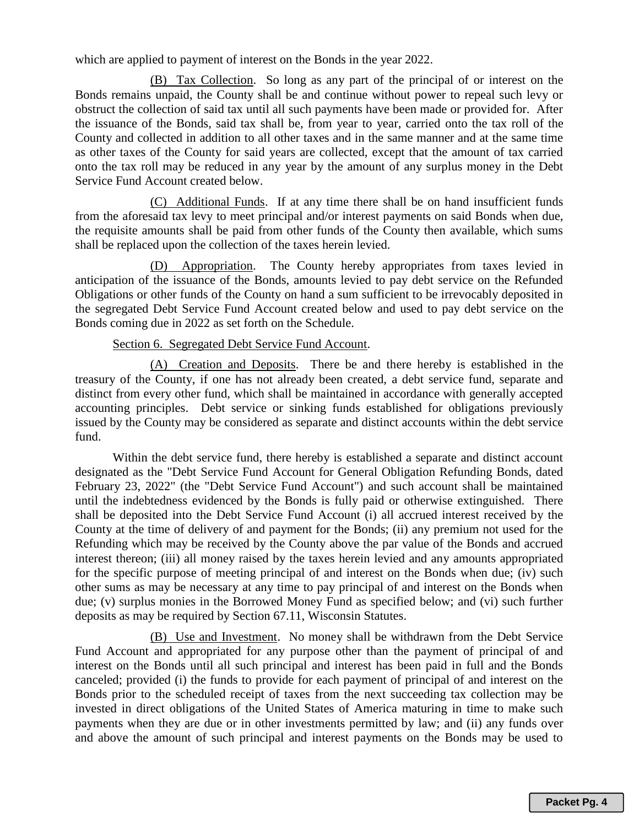which are applied to payment of interest on the Bonds in the year 2022.

(B) Tax Collection. So long as any part of the principal of or interest on the Bonds remains unpaid, the County shall be and continue without power to repeal such levy or obstruct the collection of said tax until all such payments have been made or provided for. After the issuance of the Bonds, said tax shall be, from year to year, carried onto the tax roll of the County and collected in addition to all other taxes and in the same manner and at the same time as other taxes of the County for said years are collected, except that the amount of tax carried onto the tax roll may be reduced in any year by the amount of any surplus money in the Debt Service Fund Account created below.

(C) Additional Funds. If at any time there shall be on hand insufficient funds from the aforesaid tax levy to meet principal and/or interest payments on said Bonds when due, the requisite amounts shall be paid from other funds of the County then available, which sums shall be replaced upon the collection of the taxes herein levied.

(D) Appropriation. The County hereby appropriates from taxes levied in anticipation of the issuance of the Bonds, amounts levied to pay debt service on the Refunded Obligations or other funds of the County on hand a sum sufficient to be irrevocably deposited in the segregated Debt Service Fund Account created below and used to pay debt service on the Bonds coming due in 2022 as set forth on the Schedule.

## Section 6. Segregated Debt Service Fund Account.

(A) Creation and Deposits. There be and there hereby is established in the treasury of the County, if one has not already been created, a debt service fund, separate and distinct from every other fund, which shall be maintained in accordance with generally accepted accounting principles. Debt service or sinking funds established for obligations previously issued by the County may be considered as separate and distinct accounts within the debt service fund.

Within the debt service fund, there hereby is established a separate and distinct account designated as the "Debt Service Fund Account for General Obligation Refunding Bonds, dated February 23, 2022" (the "Debt Service Fund Account") and such account shall be maintained until the indebtedness evidenced by the Bonds is fully paid or otherwise extinguished. There shall be deposited into the Debt Service Fund Account (i) all accrued interest received by the County at the time of delivery of and payment for the Bonds; (ii) any premium not used for the Refunding which may be received by the County above the par value of the Bonds and accrued interest thereon; (iii) all money raised by the taxes herein levied and any amounts appropriated for the specific purpose of meeting principal of and interest on the Bonds when due; (iv) such other sums as may be necessary at any time to pay principal of and interest on the Bonds when due; (v) surplus monies in the Borrowed Money Fund as specified below; and (vi) such further deposits as may be required by Section 67.11, Wisconsin Statutes.

(B) Use and Investment. No money shall be withdrawn from the Debt Service Fund Account and appropriated for any purpose other than the payment of principal of and interest on the Bonds until all such principal and interest has been paid in full and the Bonds canceled; provided (i) the funds to provide for each payment of principal of and interest on the Bonds prior to the scheduled receipt of taxes from the next succeeding tax collection may be invested in direct obligations of the United States of America maturing in time to make such payments when they are due or in other investments permitted by law; and (ii) any funds over and above the amount of such principal and interest payments on the Bonds may be used to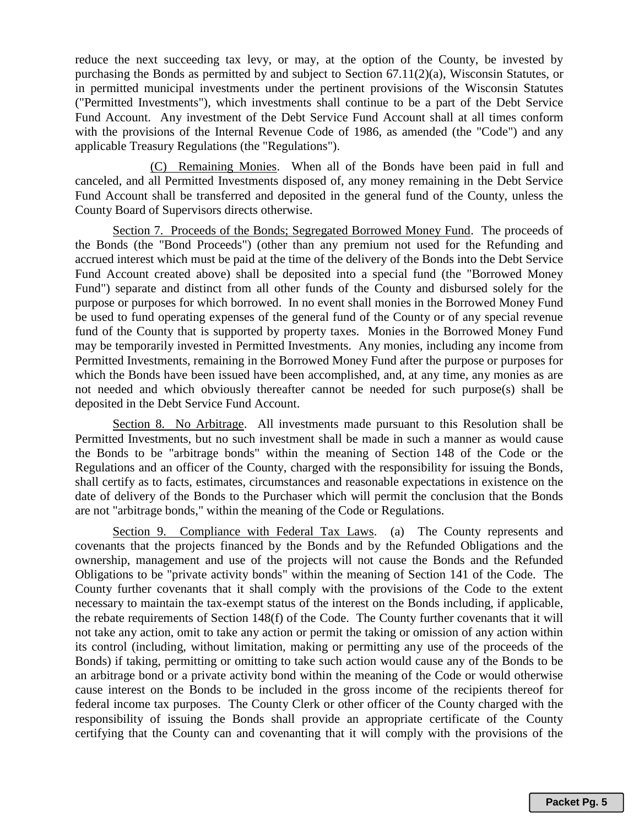reduce the next succeeding tax levy, or may, at the option of the County, be invested by purchasing the Bonds as permitted by and subject to Section 67.11(2)(a), Wisconsin Statutes, or in permitted municipal investments under the pertinent provisions of the Wisconsin Statutes ("Permitted Investments"), which investments shall continue to be a part of the Debt Service Fund Account. Any investment of the Debt Service Fund Account shall at all times conform with the provisions of the Internal Revenue Code of 1986, as amended (the "Code") and any applicable Treasury Regulations (the "Regulations").

(C) Remaining Monies. When all of the Bonds have been paid in full and canceled, and all Permitted Investments disposed of, any money remaining in the Debt Service Fund Account shall be transferred and deposited in the general fund of the County, unless the County Board of Supervisors directs otherwise.

Section 7. Proceeds of the Bonds; Segregated Borrowed Money Fund. The proceeds of the Bonds (the "Bond Proceeds") (other than any premium not used for the Refunding and accrued interest which must be paid at the time of the delivery of the Bonds into the Debt Service Fund Account created above) shall be deposited into a special fund (the "Borrowed Money Fund") separate and distinct from all other funds of the County and disbursed solely for the purpose or purposes for which borrowed. In no event shall monies in the Borrowed Money Fund be used to fund operating expenses of the general fund of the County or of any special revenue fund of the County that is supported by property taxes. Monies in the Borrowed Money Fund may be temporarily invested in Permitted Investments. Any monies, including any income from Permitted Investments, remaining in the Borrowed Money Fund after the purpose or purposes for which the Bonds have been issued have been accomplished, and, at any time, any monies as are not needed and which obviously thereafter cannot be needed for such purpose(s) shall be deposited in the Debt Service Fund Account.

Section 8. No Arbitrage. All investments made pursuant to this Resolution shall be Permitted Investments, but no such investment shall be made in such a manner as would cause the Bonds to be "arbitrage bonds" within the meaning of Section 148 of the Code or the Regulations and an officer of the County, charged with the responsibility for issuing the Bonds, shall certify as to facts, estimates, circumstances and reasonable expectations in existence on the date of delivery of the Bonds to the Purchaser which will permit the conclusion that the Bonds are not "arbitrage bonds," within the meaning of the Code or Regulations.

Section 9. Compliance with Federal Tax Laws. (a) The County represents and covenants that the projects financed by the Bonds and by the Refunded Obligations and the ownership, management and use of the projects will not cause the Bonds and the Refunded Obligations to be "private activity bonds" within the meaning of Section 141 of the Code. The County further covenants that it shall comply with the provisions of the Code to the extent necessary to maintain the tax-exempt status of the interest on the Bonds including, if applicable, the rebate requirements of Section 148(f) of the Code. The County further covenants that it will not take any action, omit to take any action or permit the taking or omission of any action within its control (including, without limitation, making or permitting any use of the proceeds of the Bonds) if taking, permitting or omitting to take such action would cause any of the Bonds to be an arbitrage bond or a private activity bond within the meaning of the Code or would otherwise cause interest on the Bonds to be included in the gross income of the recipients thereof for federal income tax purposes. The County Clerk or other officer of the County charged with the responsibility of issuing the Bonds shall provide an appropriate certificate of the County certifying that the County can and covenanting that it will comply with the provisions of the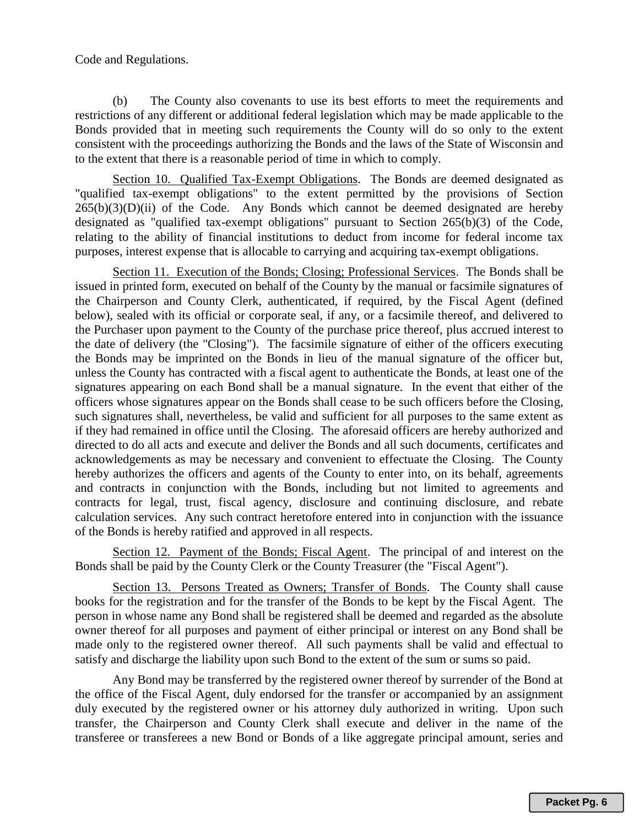#### Code and Regulations.

(b) The County also covenants to use its best efforts to meet the requirements and restrictions of any different or additional federal legislation which may be made applicable to the Bonds provided that in meeting such requirements the County will do so only to the extent consistent with the proceedings authorizing the Bonds and the laws of the State of Wisconsin and to the extent that there is a reasonable period of time in which to comply.

Section 10. Qualified Tax-Exempt Obligations. The Bonds are deemed designated as "qualified tax-exempt obligations" to the extent permitted by the provisions of Section  $265(b)(3)(D)(ii)$  of the Code. Any Bonds which cannot be deemed designated are hereby designated as "qualified tax-exempt obligations" pursuant to Section 265(b)(3) of the Code, relating to the ability of financial institutions to deduct from income for federal income tax purposes, interest expense that is allocable to carrying and acquiring tax-exempt obligations.

Section 11. Execution of the Bonds; Closing; Professional Services. The Bonds shall be issued in printed form, executed on behalf of the County by the manual or facsimile signatures of the Chairperson and County Clerk, authenticated, if required, by the Fiscal Agent (defined below), sealed with its official or corporate seal, if any, or a facsimile thereof, and delivered to the Purchaser upon payment to the County of the purchase price thereof, plus accrued interest to the date of delivery (the "Closing"). The facsimile signature of either of the officers executing the Bonds may be imprinted on the Bonds in lieu of the manual signature of the officer but, unless the County has contracted with a fiscal agent to authenticate the Bonds, at least one of the signatures appearing on each Bond shall be a manual signature. In the event that either of the officers whose signatures appear on the Bonds shall cease to be such officers before the Closing, such signatures shall, nevertheless, be valid and sufficient for all purposes to the same extent as if they had remained in office until the Closing. The aforesaid officers are hereby authorized and directed to do all acts and execute and deliver the Bonds and all such documents, certificates and acknowledgements as may be necessary and convenient to effectuate the Closing. The County hereby authorizes the officers and agents of the County to enter into, on its behalf, agreements and contracts in conjunction with the Bonds, including but not limited to agreements and contracts for legal, trust, fiscal agency, disclosure and continuing disclosure, and rebate calculation services. Any such contract heretofore entered into in conjunction with the issuance of the Bonds is hereby ratified and approved in all respects.

Section 12. Payment of the Bonds; Fiscal Agent. The principal of and interest on the Bonds shall be paid by the County Clerk or the County Treasurer (the "Fiscal Agent").

Section 13. Persons Treated as Owners; Transfer of Bonds. The County shall cause books for the registration and for the transfer of the Bonds to be kept by the Fiscal Agent. The person in whose name any Bond shall be registered shall be deemed and regarded as the absolute owner thereof for all purposes and payment of either principal or interest on any Bond shall be made only to the registered owner thereof. All such payments shall be valid and effectual to satisfy and discharge the liability upon such Bond to the extent of the sum or sums so paid.

Any Bond may be transferred by the registered owner thereof by surrender of the Bond at the office of the Fiscal Agent, duly endorsed for the transfer or accompanied by an assignment duly executed by the registered owner or his attorney duly authorized in writing. Upon such transfer, the Chairperson and County Clerk shall execute and deliver in the name of the transferee or transferees a new Bond or Bonds of a like aggregate principal amount, series and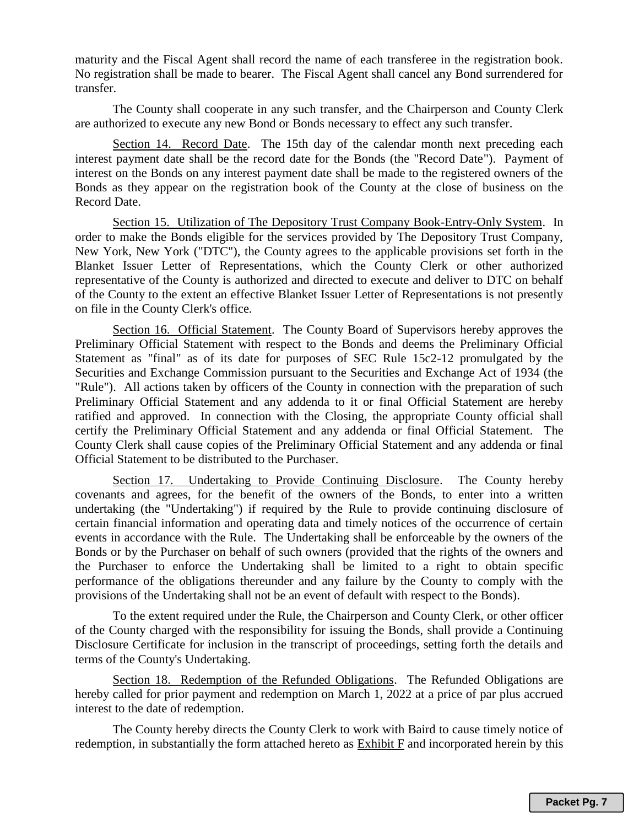maturity and the Fiscal Agent shall record the name of each transferee in the registration book. No registration shall be made to bearer. The Fiscal Agent shall cancel any Bond surrendered for transfer.

The County shall cooperate in any such transfer, and the Chairperson and County Clerk are authorized to execute any new Bond or Bonds necessary to effect any such transfer.

Section 14. Record Date. The 15th day of the calendar month next preceding each interest payment date shall be the record date for the Bonds (the "Record Date"). Payment of interest on the Bonds on any interest payment date shall be made to the registered owners of the Bonds as they appear on the registration book of the County at the close of business on the Record Date.

Section 15. Utilization of The Depository Trust Company Book-Entry-Only System. In order to make the Bonds eligible for the services provided by The Depository Trust Company, New York, New York ("DTC"), the County agrees to the applicable provisions set forth in the Blanket Issuer Letter of Representations, which the County Clerk or other authorized representative of the County is authorized and directed to execute and deliver to DTC on behalf of the County to the extent an effective Blanket Issuer Letter of Representations is not presently on file in the County Clerk's office.

Section 16. Official Statement. The County Board of Supervisors hereby approves the Preliminary Official Statement with respect to the Bonds and deems the Preliminary Official Statement as "final" as of its date for purposes of SEC Rule 15c2-12 promulgated by the Securities and Exchange Commission pursuant to the Securities and Exchange Act of 1934 (the "Rule"). All actions taken by officers of the County in connection with the preparation of such Preliminary Official Statement and any addenda to it or final Official Statement are hereby ratified and approved. In connection with the Closing, the appropriate County official shall certify the Preliminary Official Statement and any addenda or final Official Statement. The County Clerk shall cause copies of the Preliminary Official Statement and any addenda or final Official Statement to be distributed to the Purchaser.

Section 17. Undertaking to Provide Continuing Disclosure. The County hereby covenants and agrees, for the benefit of the owners of the Bonds, to enter into a written undertaking (the "Undertaking") if required by the Rule to provide continuing disclosure of certain financial information and operating data and timely notices of the occurrence of certain events in accordance with the Rule. The Undertaking shall be enforceable by the owners of the Bonds or by the Purchaser on behalf of such owners (provided that the rights of the owners and the Purchaser to enforce the Undertaking shall be limited to a right to obtain specific performance of the obligations thereunder and any failure by the County to comply with the provisions of the Undertaking shall not be an event of default with respect to the Bonds).

To the extent required under the Rule, the Chairperson and County Clerk, or other officer of the County charged with the responsibility for issuing the Bonds, shall provide a Continuing Disclosure Certificate for inclusion in the transcript of proceedings, setting forth the details and terms of the County's Undertaking.

Section 18. Redemption of the Refunded Obligations. The Refunded Obligations are hereby called for prior payment and redemption on March 1, 2022 at a price of par plus accrued interest to the date of redemption.

The County hereby directs the County Clerk to work with Baird to cause timely notice of redemption, in substantially the form attached hereto as Exhibit F and incorporated herein by this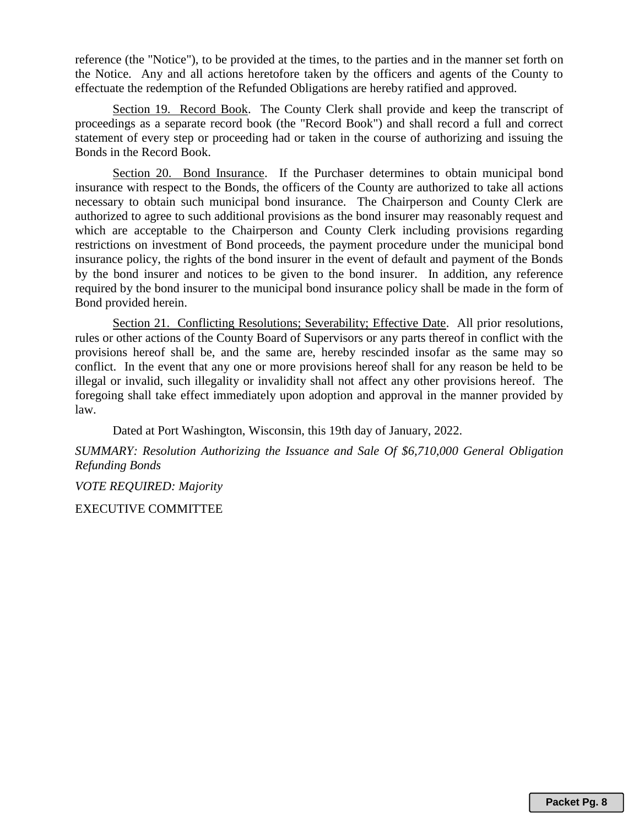reference (the "Notice"), to be provided at the times, to the parties and in the manner set forth on the Notice. Any and all actions heretofore taken by the officers and agents of the County to effectuate the redemption of the Refunded Obligations are hereby ratified and approved.

Section 19. Record Book. The County Clerk shall provide and keep the transcript of proceedings as a separate record book (the "Record Book") and shall record a full and correct statement of every step or proceeding had or taken in the course of authorizing and issuing the Bonds in the Record Book.

Section 20. Bond Insurance. If the Purchaser determines to obtain municipal bond insurance with respect to the Bonds, the officers of the County are authorized to take all actions necessary to obtain such municipal bond insurance. The Chairperson and County Clerk are authorized to agree to such additional provisions as the bond insurer may reasonably request and which are acceptable to the Chairperson and County Clerk including provisions regarding restrictions on investment of Bond proceeds, the payment procedure under the municipal bond insurance policy, the rights of the bond insurer in the event of default and payment of the Bonds by the bond insurer and notices to be given to the bond insurer. In addition, any reference required by the bond insurer to the municipal bond insurance policy shall be made in the form of Bond provided herein.

Section 21. Conflicting Resolutions; Severability; Effective Date. All prior resolutions, rules or other actions of the County Board of Supervisors or any parts thereof in conflict with the provisions hereof shall be, and the same are, hereby rescinded insofar as the same may so conflict. In the event that any one or more provisions hereof shall for any reason be held to be illegal or invalid, such illegality or invalidity shall not affect any other provisions hereof. The foregoing shall take effect immediately upon adoption and approval in the manner provided by law.

Dated at Port Washington, Wisconsin, this 19th day of January, 2022.

*SUMMARY: Resolution Authorizing the Issuance and Sale Of \$6,710,000 General Obligation Refunding Bonds* 

*VOTE REQUIRED: Majority*

EXECUTIVE COMMITTEE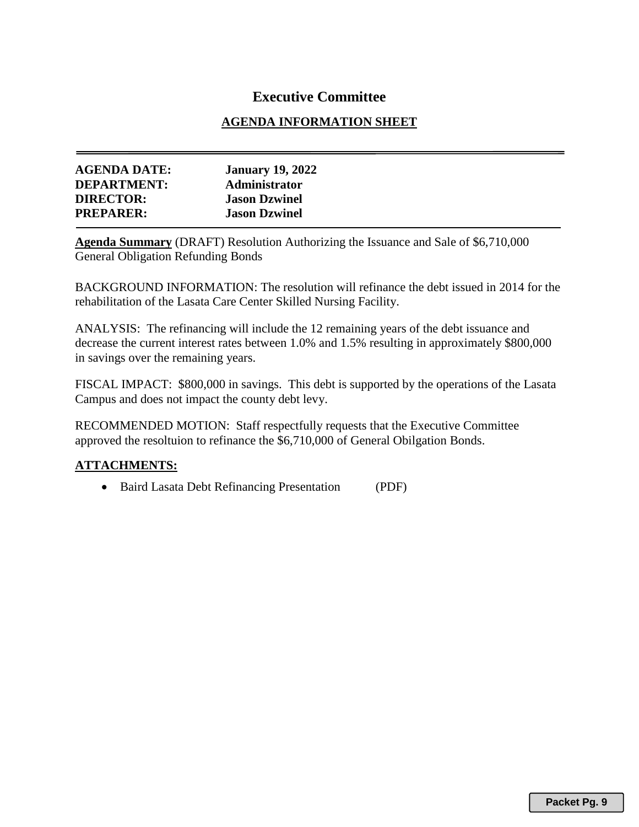# **Executive Committee**

# **AGENDA INFORMATION SHEET**

| <b>AGENDA DATE:</b> | <b>January 19, 2022</b> |
|---------------------|-------------------------|
| <b>DEPARTMENT:</b>  | Administrator           |
| <b>DIRECTOR:</b>    | <b>Jason Dzwinel</b>    |
| <b>PREPARER:</b>    | <b>Jason Dzwinel</b>    |

**Agenda Summary** (DRAFT) Resolution Authorizing the Issuance and Sale of \$6,710,000 General Obligation Refunding Bonds

BACKGROUND INFORMATION: The resolution will refinance the debt issued in 2014 for the rehabilitation of the Lasata Care Center Skilled Nursing Facility.

ANALYSIS: The refinancing will include the 12 remaining years of the debt issuance and decrease the current interest rates between 1.0% and 1.5% resulting in approximately \$800,000 in savings over the remaining years.

FISCAL IMPACT: \$800,000 in savings. This debt is supported by the operations of the Lasata Campus and does not impact the county debt levy.

RECOMMENDED MOTION: Staff respectfully requests that the Executive Committee approved the resoltuion to refinance the \$6,710,000 of General Obilgation Bonds.

# **ATTACHMENTS:**

• Baird Lasata Debt Refinancing Presentation (PDF)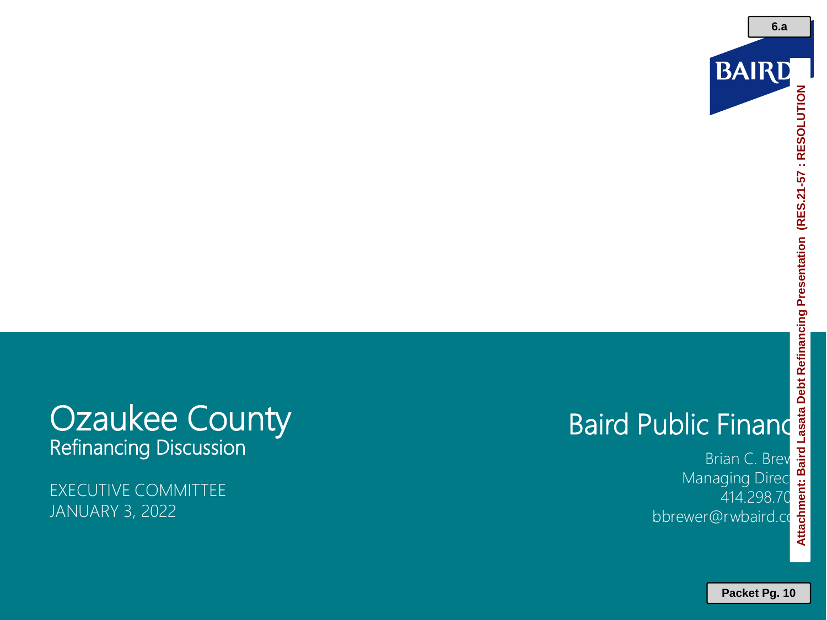

# **Attachment: Baird Lasata Debt Refinancing Presentation (RES.21-57 : RESOLUTION**

# **Ozaukee County** Refinancing Discussion

EXECUTIVE COMMITTEE JANUARY 3, 2022

Baird Public Finance<br>
Managing Director<br>
Managing Director<br>
Managing Director<br>
Managing Director<br>
A14.298.70<br>
bbrewer@rwbaird.co Brian C. Brev Managing Direct 414.298.70 bbrewer@rwbaird.com

**Packet Pg. 10**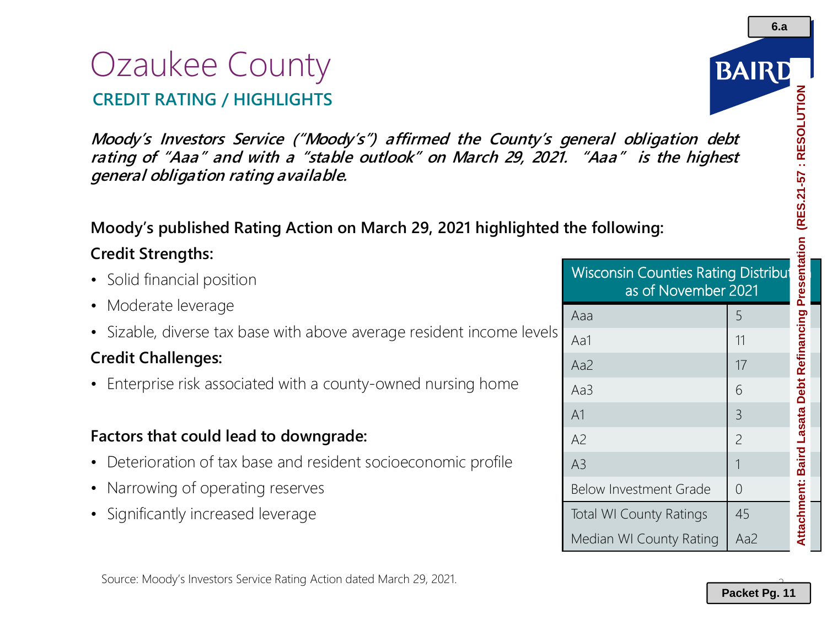# Ozaukee County **CREDIT RATING / HIGHLIGHTS**

**Moody's Investors Service ("Moody's") affirmed the County's general obligation debt rating of "Aaa" and with <sup>a</sup> "stable outlook" on March 29, 2021. "Aaa" is the highest general obligation rating available.** eneral obligation debt<br>
"Aaa" is the highest<br>
he following:<br>
Nisconsin Counties Rating Distribut<br>
as of November 2021<br>
Aaa<br>
Aa1<br>
Aa2<br>
Aa3<br>
A1<br>
A2<br>
A3<br>
Below Investment Grade<br>
Total WI County Ratings<br>
Median WI County Ratin

# **Moody's published Rating Action on March 29, 2021 highlighted the following:**

# **Credit Strengths:**

- Solid financial position
- Moderate leverage
- Sizable, diverse tax base with above average resident income levels

# **Credit Challenges:**

• Enterprise risk associated with a county-owned nursing home

# **Factors that could lead to downgrade:**

- Deterioration of tax base and resident socioeconomic profile
- Narrowing of operating reserves
- Significantly increased leverage

as of November 2021

Aaa 5

Aa1 11

Aa2 17 Aa3 6

A1 3

A2 2

A3 1 Below Investment Grade  $\begin{array}{c} \mid \\ \mid \\ \end{array}$ 

Total WI County Ratings | 45

Median WI County Rating | Aa2

2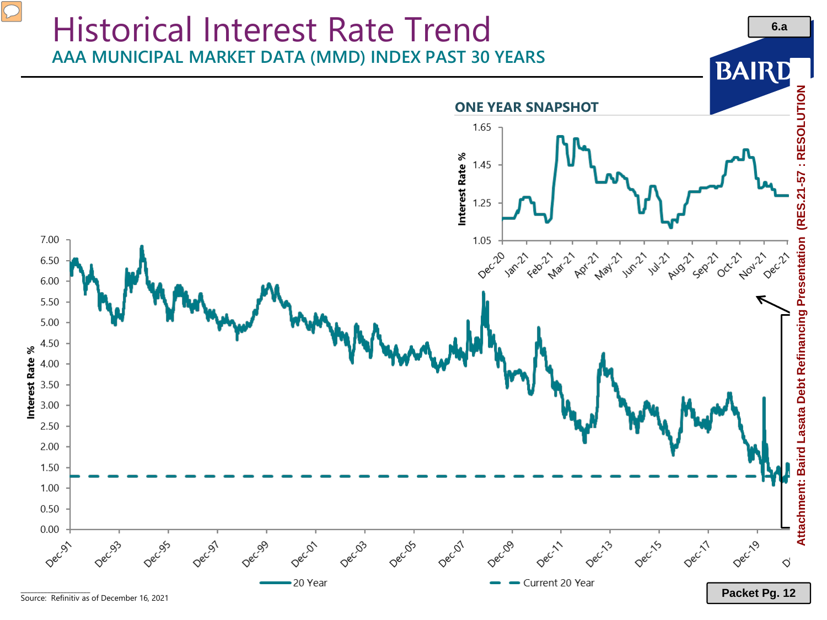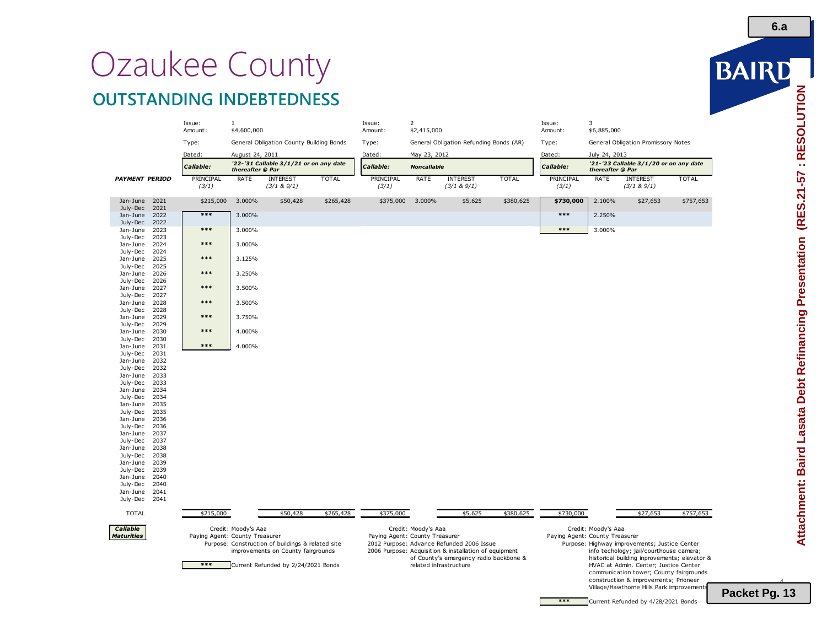# Ozaukee County **OUTSTANDING INDEBTEDNESS**

|                       |              | Issue:<br>Amount:              | $\mathbf{1}$<br>\$4,600,000 |                                                   |              | Issue:<br>Amount:                                                                                             | $\overline{2}$<br>\$2,415,000 |                                                                                                 |              | Issue:<br>Amount:  | 3<br>\$6,885,000    |                                                                                                                           |              |
|-----------------------|--------------|--------------------------------|-----------------------------|---------------------------------------------------|--------------|---------------------------------------------------------------------------------------------------------------|-------------------------------|-------------------------------------------------------------------------------------------------|--------------|--------------------|---------------------|---------------------------------------------------------------------------------------------------------------------------|--------------|
|                       |              | Type:                          |                             | General Obligation County Building Bonds          |              | Type:                                                                                                         |                               | General Obligation Refunding Bonds (AR)                                                         |              | Type:              |                     | General Obligation Promissory Notes                                                                                       |              |
|                       |              | Dated:                         | August 24, 2011             |                                                   |              | Dated:                                                                                                        | May 23, 2012                  |                                                                                                 |              | Dated:             | July 24, 2013       |                                                                                                                           |              |
|                       |              | Callable:                      | thereafter @ Par            | '22-'31 Callable 3/1/21 or on any date            |              | Callable:                                                                                                     | <b>Noncallable</b>            |                                                                                                 |              | Callable:          | thereafter @ Par    | '21-'23 Callable 3/1/20 or on any date                                                                                    |              |
| <b>PAYMENT PERIOD</b> |              | PRINCIPAL<br>(3/1)             | RATE                        | <b>INTEREST</b><br>$(3/1 & 8)$ 9/1)               | <b>TOTAL</b> | PRINCIPAL<br>(3/1)                                                                                            | RATE                          | <b>INTEREST</b><br>(3/1 & 9/1)                                                                  | <b>TOTAL</b> | PRINCIPAL<br>(3/1) | RATE                | <b>INTEREST</b><br>(3/1 & 9/1)                                                                                            | <b>TOTAL</b> |
| Jan-June<br>July-Dec  | 2021<br>2021 | \$215,000                      | 3.000%                      | \$50,428                                          | \$265,428    | \$375,000                                                                                                     | 3.000%                        | \$5,625                                                                                         | \$380,625    | \$730,000          | 2.100%              | \$27,653                                                                                                                  | \$757,653    |
| Jan-June<br>July-Dec  | 2022<br>2022 | $***$                          | 3.000%                      |                                                   |              |                                                                                                               |                               |                                                                                                 |              | $***$              | 2.250%              |                                                                                                                           |              |
| Jan-June<br>July-Dec  | 2023<br>2023 | $***$                          | 3.000%                      |                                                   |              |                                                                                                               |                               |                                                                                                 |              | $***$              | 3.000%              |                                                                                                                           |              |
| Jan-June<br>July-Dec  | 2024<br>2024 | ***                            | 3.000%                      |                                                   |              |                                                                                                               |                               |                                                                                                 |              |                    |                     |                                                                                                                           |              |
| Jan-June<br>July-Dec  | 2025<br>2025 | ***                            | 3.125%                      |                                                   |              |                                                                                                               |                               |                                                                                                 |              |                    |                     |                                                                                                                           |              |
| Jan-June<br>July-Dec  | 2026<br>2026 | $***$                          | 3.250%                      |                                                   |              |                                                                                                               |                               |                                                                                                 |              |                    |                     |                                                                                                                           |              |
| Jan-June<br>July-Dec  | 2027<br>2027 | $***$                          | 3.500%                      |                                                   |              |                                                                                                               |                               |                                                                                                 |              |                    |                     |                                                                                                                           |              |
| Jan-June<br>July-Dec  | 2028<br>2028 | $***$                          | 3.500%                      |                                                   |              |                                                                                                               |                               |                                                                                                 |              |                    |                     |                                                                                                                           |              |
| Jan-June<br>July-Dec  | 2029<br>2029 | ***                            | 3.750%                      |                                                   |              |                                                                                                               |                               |                                                                                                 |              |                    |                     |                                                                                                                           |              |
| Jan-June<br>July-Dec  | 2030<br>2030 | $***$                          | 4.000%                      |                                                   |              |                                                                                                               |                               |                                                                                                 |              |                    |                     |                                                                                                                           |              |
| Jan-June<br>July-Dec  | 2031<br>2031 | $***$                          | 4.000%                      |                                                   |              |                                                                                                               |                               |                                                                                                 |              |                    |                     |                                                                                                                           |              |
| Jan-June<br>July-Dec  | 2032<br>2032 |                                |                             |                                                   |              |                                                                                                               |                               |                                                                                                 |              |                    |                     |                                                                                                                           |              |
| Jan-June              | 2033         |                                |                             |                                                   |              |                                                                                                               |                               |                                                                                                 |              |                    |                     |                                                                                                                           |              |
| July-Dec<br>Jan-June  | 2033<br>2034 |                                |                             |                                                   |              |                                                                                                               |                               |                                                                                                 |              |                    |                     |                                                                                                                           |              |
| July-Dec              | 2034         |                                |                             |                                                   |              |                                                                                                               |                               |                                                                                                 |              |                    |                     |                                                                                                                           |              |
| Jan-June<br>July-Dec  | 2035<br>2035 |                                |                             |                                                   |              |                                                                                                               |                               |                                                                                                 |              |                    |                     |                                                                                                                           |              |
| Jan-June              | 2036         |                                |                             |                                                   |              |                                                                                                               |                               |                                                                                                 |              |                    |                     |                                                                                                                           |              |
| July-Dec<br>Jan-June  | 2036<br>2037 |                                |                             |                                                   |              |                                                                                                               |                               |                                                                                                 |              |                    |                     |                                                                                                                           |              |
| July-Dec              | 2037         |                                |                             |                                                   |              |                                                                                                               |                               |                                                                                                 |              |                    |                     |                                                                                                                           |              |
| Jan-June              | 2038         |                                |                             |                                                   |              |                                                                                                               |                               |                                                                                                 |              |                    |                     |                                                                                                                           |              |
| July-Dec<br>Jan-June  | 2038<br>2039 |                                |                             |                                                   |              |                                                                                                               |                               |                                                                                                 |              |                    |                     |                                                                                                                           |              |
| July-Dec              | 2039         |                                |                             |                                                   |              |                                                                                                               |                               |                                                                                                 |              |                    |                     |                                                                                                                           |              |
| Jan-June              | 2040         |                                |                             |                                                   |              |                                                                                                               |                               |                                                                                                 |              |                    |                     |                                                                                                                           |              |
| July-Dec              | 2040         |                                |                             |                                                   |              |                                                                                                               |                               |                                                                                                 |              |                    |                     |                                                                                                                           |              |
| Jan-June<br>July-Dec  | 2041<br>2041 |                                |                             |                                                   |              |                                                                                                               |                               |                                                                                                 |              |                    |                     |                                                                                                                           |              |
| <b>TOTAL</b>          |              | \$215,000                      |                             | \$50,428                                          | \$265,428    | \$375,000                                                                                                     |                               | \$5,625                                                                                         | \$380,625    | \$730,000          |                     | \$27,653                                                                                                                  | \$757,653    |
| Callable              |              |                                | Credit: Moody's Aaa         |                                                   |              |                                                                                                               | Credit: Moody's Aaa           |                                                                                                 |              |                    | Credit: Moody's Aaa |                                                                                                                           |              |
| <b>Maturities</b>     |              | Paying Agent: County Treasurer |                             | Purpose: Construction of buildings & related site |              | Paying Agent: County Treasurer<br>Paying Agent: County Treasurer<br>2012 Purpose: Advance Refunded 2006 Issue |                               |                                                                                                 |              |                    |                     | Purpose: Highway improvements; Justice Center                                                                             |              |
|                       |              | $***$                          |                             | improvements on County fairgrounds                |              |                                                                                                               |                               | 2006 Purpose: Acquisition & installation of equipment<br>of County's emergency radio backbone & |              |                    |                     | info techology; jail/courthouse camera;<br>historical building inprovements; elevator &                                   |              |
|                       |              |                                |                             | Current Refunded by 2/24/2021 Bonds               |              | related infrastructure                                                                                        |                               |                                                                                                 |              |                    |                     | HVAC at Admin. Center; Justice Center<br>communication tower; County fairgrounds<br>construction & improvements; Prioneer |              |
|                       |              |                                |                             |                                                   |              |                                                                                                               |                               |                                                                                                 |              |                    |                     | Village/Hawthorne Hills Park improvements                                                                                 |              |

**6.a**

 $\overline{a}$ **Packet Pg. 13**

**\*\*\*** Current Refunded by 4/28/2021 Bonds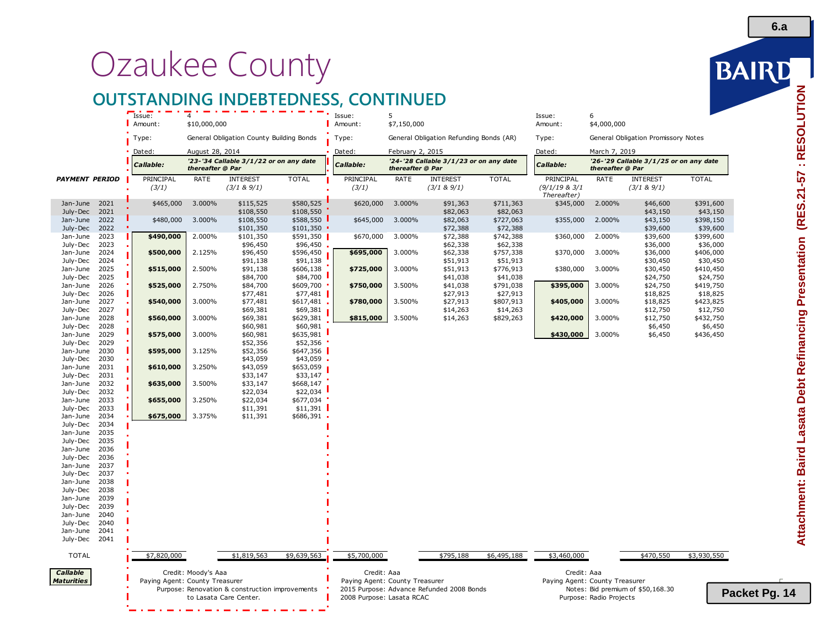# Ozaukee County

# **OUTSTANDING INDEBTEDNESS, CONTINUED**

|                       |              | Issue:                         | $\Delta$            |                                                                           |                          | Issue:                         | 5                |                                           |                       | Issue:                         | 6                       |                                        |                       |
|-----------------------|--------------|--------------------------------|---------------------|---------------------------------------------------------------------------|--------------------------|--------------------------------|------------------|-------------------------------------------|-----------------------|--------------------------------|-------------------------|----------------------------------------|-----------------------|
|                       |              | Amount:                        | \$10,000,000        |                                                                           |                          | Amount:                        | \$7,150,000      |                                           |                       | Amount:                        | \$4,000,000             |                                        |                       |
|                       |              | Type:                          |                     | General Obligation County Building Bonds                                  |                          | Type:                          |                  | General Obligation Refunding Bonds (AR)   |                       | Type:                          |                         | General Obligation Promissory Notes    |                       |
|                       |              | Dated:                         | August 28, 2014     |                                                                           |                          | Dated:                         | February 2, 2015 |                                           |                       | Dated:                         | March 7, 2019           |                                        |                       |
|                       |              | <i><b>Callable:</b></i>        | thereafter @ Par    | '23-'34 Callable 3/1/22 or on any date                                    |                          | Callable:                      | thereafter @ Par | '24-'28 Callable 3/1/23 or on any date    |                       | Callable:                      | thereafter @ Par        | '26-'29 Callable 3/1/25 or on any date |                       |
| <b>PAYMENT PERIOD</b> |              | PRINCIPAL                      | RATE                | <b>INTEREST</b>                                                           | <b>TOTAL</b>             | PRINCIPAL                      | RATE             | <b>INTEREST</b>                           | <b>TOTAL</b>          | PRINCIPAL                      | RATE                    | <b>INTEREST</b>                        | <b>TOTAL</b>          |
|                       |              | (3/1)                          |                     | (3/1 & 8 & 9/1)                                                           |                          | (3/1)                          |                  | (3/1 & 8)9/1)                             |                       | (9/1/19 & 3/1)<br>Thereafter)  |                         | (3/1 & 8)9/1)                          |                       |
| Jan-June<br>July-Dec  | 2021<br>2021 | \$465,000                      | 3.000%              | \$115,525<br>\$108,550                                                    | \$580,525<br>\$108,550   | \$620,000                      | 3.000%           | \$91,363<br>\$82,063                      | \$711,363<br>\$82,063 | \$345,000                      | 2.000%                  | \$46,600<br>\$43,150                   | \$391,600<br>\$43,150 |
| Jan-June<br>July-Dec  | 2022<br>2022 | \$480,000                      | 3.000%              | \$108,550<br>\$101,350                                                    | \$588,550<br>\$101,350   | \$645,000                      | 3.000%           | \$82,063<br>\$72,388                      | \$727,063<br>\$72,388 | \$355,000                      | 2.000%                  | \$43,150<br>\$39,600                   | \$398,150<br>\$39,600 |
| Jan-June<br>July-Dec  | 2023<br>2023 | \$490,000                      | 2.000%              | \$101,350<br>\$96,450                                                     | \$591,350<br>\$96,450    | \$670,000                      | 3.000%           | \$72,388<br>\$62,338                      | \$742,388<br>\$62,338 | \$360,000                      | 2.000%                  | \$39,600<br>\$36,000                   | \$399,600<br>\$36,000 |
| Jan-June              | 2024         | \$500,000                      | 2.125%              | \$96,450                                                                  | \$596,450                | \$695,000                      | 3.000%           | \$62,338                                  | \$757,338             | \$370,000                      | 3.000%                  | \$36,000                               | \$406,000             |
| July-Dec<br>Jan-June  | 2024<br>2025 | \$515,000                      | 2.500%              | \$91,138<br>\$91,138                                                      | \$91,138<br>\$606,138    | \$725,000                      | 3.000%           | \$51,913<br>\$51,913                      | \$51,913<br>\$776,913 | \$380,000                      | 3.000%                  | \$30,450<br>\$30,450                   | \$30,450<br>\$410,450 |
| July-Dec              | 2025         |                                |                     | \$84,700                                                                  | \$84,700                 |                                |                  | \$41,038                                  | \$41,038              |                                |                         | \$24,750                               | \$24,750              |
| Jan-June<br>July-Dec  | 2026<br>2026 | \$525,000                      | 2.750%              | \$84,700<br>\$77,481                                                      | \$609,700<br>\$77,481    | \$750,000                      | 3.500%           | \$41,038<br>\$27,913                      | \$791,038<br>\$27,913 | \$395,000                      | 3.000%                  | \$24,750<br>\$18,825                   | \$419,750<br>\$18,825 |
| Jan-June              | 2027         | \$540,000                      | 3.000%              | \$77,481                                                                  | $$617,481$ .             | \$780,000                      | 3.500%           | \$27,913                                  | \$807,913             | \$405,000                      | 3.000%                  | \$18,825                               | \$423,825             |
| July-Dec<br>Jan-June  | 2027<br>2028 | \$560,000                      | 3.000%              | \$69,381<br>\$69,381                                                      | \$69,381<br>\$629,381    | \$815,000                      | 3.500%           | \$14,263<br>\$14,263                      | \$14,263<br>\$829,263 | \$420,000                      | 3.000%                  | \$12,750<br>\$12,750                   | \$12,750<br>\$432,750 |
| July-Dec              | 2028         |                                |                     | \$60,981                                                                  | \$60,981                 |                                |                  |                                           |                       |                                |                         | \$6,450                                | \$6,450               |
| Jan-June<br>July-Dec  | 2029<br>2029 | \$575,000                      | 3.000%              | \$60,981<br>\$52,356                                                      | \$635,981<br>\$52,356    |                                |                  |                                           |                       | \$430,000                      | 3.000%                  | \$6,450                                | \$436,450             |
| Jan-June              | 2030         | \$595,000                      | 3.125%              | \$52,356                                                                  | \$647,356                |                                |                  |                                           |                       |                                |                         |                                        |                       |
| July-Dec<br>Jan-June  | 2030<br>2031 | \$610,000                      | 3.250%              | \$43,059<br>\$43,059                                                      | \$43,059<br>\$653,059    |                                |                  |                                           |                       |                                |                         |                                        |                       |
| July-Dec              | 2031         |                                |                     | \$33,147                                                                  | \$33,147                 |                                |                  |                                           |                       |                                |                         |                                        |                       |
| Jan-June<br>July-Dec  | 2032<br>2032 | \$635,000                      | 3.500%              | \$33,147<br>\$22,034                                                      | \$668,147<br>\$22,034    |                                |                  |                                           |                       |                                |                         |                                        |                       |
| Jan-June              | 2033         | \$655,000                      | 3.250%              | \$22,034                                                                  | \$677,034                |                                |                  |                                           |                       |                                |                         |                                        |                       |
| July-Dec<br>Jan-June  | 2033<br>2034 | \$675,000                      | 3.375%              | \$11,391<br>\$11,391                                                      | \$11,391<br>$$686,391$ . |                                |                  |                                           |                       |                                |                         |                                        |                       |
| July-Dec              | 2034         |                                |                     |                                                                           |                          |                                |                  |                                           |                       |                                |                         |                                        |                       |
| Jan-June<br>July-Dec  | 2035<br>2035 |                                |                     |                                                                           |                          |                                |                  |                                           |                       |                                |                         |                                        |                       |
| Jan-June              | 2036         |                                |                     |                                                                           |                          |                                |                  |                                           |                       |                                |                         |                                        |                       |
| July-Dec              | 2036         |                                |                     |                                                                           |                          |                                |                  |                                           |                       |                                |                         |                                        |                       |
| Jan-June<br>July-Dec  | 2037<br>2037 |                                |                     |                                                                           |                          |                                |                  |                                           |                       |                                |                         |                                        |                       |
| Jan-June              | 2038         |                                |                     |                                                                           |                          |                                |                  |                                           |                       |                                |                         |                                        |                       |
| July-Dec              | 2038         |                                |                     |                                                                           |                          |                                |                  |                                           |                       |                                |                         |                                        |                       |
| Jan-June<br>July-Dec  | 2039<br>2039 |                                |                     |                                                                           |                          |                                |                  |                                           |                       |                                |                         |                                        |                       |
| Jan-June              | 2040         |                                |                     |                                                                           |                          |                                |                  |                                           |                       |                                |                         |                                        |                       |
| July-Dec              | 2040         |                                |                     |                                                                           |                          |                                |                  |                                           |                       |                                |                         |                                        |                       |
| Jan-June              | 2041         |                                |                     |                                                                           |                          |                                |                  |                                           |                       |                                |                         |                                        |                       |
| July-Dec              | 2041         |                                |                     |                                                                           |                          |                                |                  |                                           |                       |                                |                         |                                        |                       |
| <b>TOTAL</b>          |              | \$7,820,000                    |                     | \$1,819,563                                                               | \$9,639,563              | \$5,700,000                    |                  | \$795,188                                 | \$6,495,188           | \$3,460,000                    |                         | \$470,550                              | \$3,930,550           |
| Callable              |              |                                | Credit: Moody's Aaa |                                                                           |                          | Credit: Aaa                    |                  |                                           |                       | Credit: Aaa                    |                         |                                        |                       |
| <b>Maturities</b>     |              | Paying Agent: County Treasurer |                     |                                                                           |                          | Paying Agent: County Treasurer |                  |                                           |                       | Paying Agent: County Treasurer |                         |                                        |                       |
|                       |              |                                |                     | Purpose: Renovation & construction improvements<br>to Lasata Care Center. |                          | 2008 Purpose: Lasata RCAC      |                  | 2015 Purpose: Advance Refunded 2008 Bonds |                       |                                | Purpose: Radio Projects | Notes: Bid premium of \$50,168.30      | Pa                    |
|                       |              |                                |                     |                                                                           | $\sim$                   |                                |                  |                                           |                       |                                |                         |                                        |                       |

**6.a**

BAIRD

5 **Packet Pg. 14**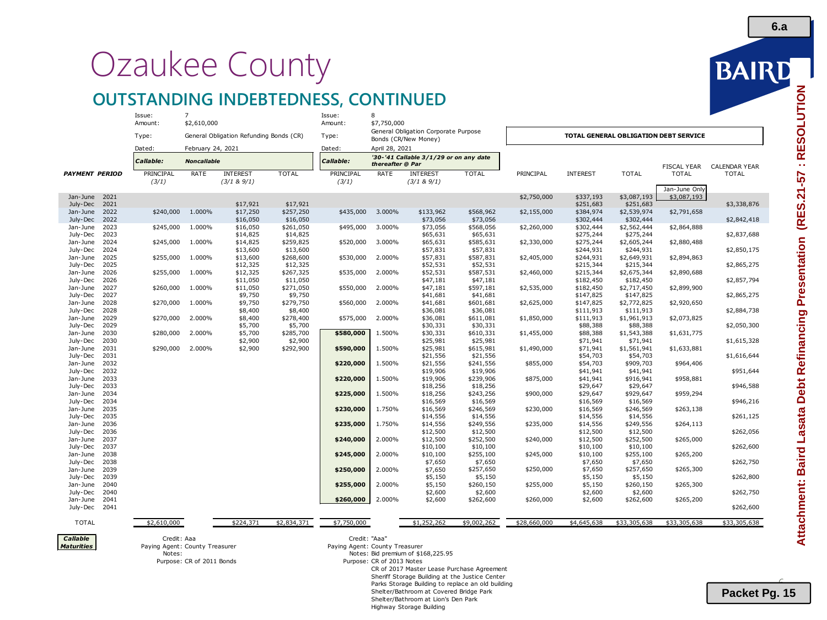# Ozaukee County

# **OUTSTANDING INDEBTEDNESS, CONTINUED**

|                                      | Issue:<br>Amount:                            | $\overline{7}$<br>\$2,610,000           |                                         |                       | Issue:<br>Amount:              | 8<br>\$7,750,000                       |                                                |                       |              |                        |                                       |                                    |                                      |
|--------------------------------------|----------------------------------------------|-----------------------------------------|-----------------------------------------|-----------------------|--------------------------------|----------------------------------------|------------------------------------------------|-----------------------|--------------|------------------------|---------------------------------------|------------------------------------|--------------------------------------|
|                                      | Type:                                        |                                         | General Obligation Refunding Bonds (CR) |                       | Type:                          | General Obligation Corporate Purpose   |                                                |                       |              |                        | TOTAL GENERAL OBLIGATION DEBT SERVICE |                                    |                                      |
|                                      | Dated:                                       |                                         |                                         |                       | Dated:                         | Bonds (CR/New Money)<br>April 28, 2021 |                                                |                       |              |                        |                                       |                                    |                                      |
|                                      | Callable:                                    | February 24, 2021<br><b>Noncallable</b> |                                         |                       | Callable:                      | thereafter @ Par                       | '30-'41 Callable 3/1/29 or on any date         |                       |              |                        |                                       |                                    |                                      |
| <b>PAYMENT PERIOD</b>                | PRINCIPAL                                    | RATE                                    | <b>INTEREST</b>                         | <b>TOTAL</b>          | PRINCIPAL                      | RATE                                   | <b>INTEREST</b>                                | <b>TOTAL</b>          | PRINCIPAL    | <b>INTEREST</b>        | <b>TOTAL</b>                          | <b>FISCAL YEAR</b><br><b>TOTAL</b> | <b>CALENDAR YEAR</b><br><b>TOTAL</b> |
|                                      | (3/1)                                        |                                         | (3/1 & 9/1)                             |                       | (3/1)                          |                                        | (3/1 & 9/1)                                    |                       |              |                        |                                       | Jan-June Only                      |                                      |
| 2021<br>Jan-June                     |                                              |                                         |                                         |                       |                                |                                        |                                                |                       | \$2,750,000  | \$337,193              | \$3,087,193                           | \$3,087,193                        |                                      |
| 2021<br>July-Dec                     |                                              |                                         | \$17,921                                | \$17,921              |                                |                                        |                                                |                       |              | \$251,683              | \$251,683                             |                                    | \$3,338,876                          |
| Jan-June<br>2022<br>July-Dec<br>2022 | \$240,000                                    | 1.000%                                  | \$17,250<br>\$16,050                    | \$257,250<br>\$16,050 | \$435,000                      | 3.000%                                 | \$133,962<br>\$73,056                          | \$568,962<br>\$73,056 | \$2,155,000  | \$384,974<br>\$302,444 | \$2,539,974<br>\$302,444              | \$2,791,658                        | \$2,842,418                          |
| Jan-June<br>2023                     | \$245,000                                    | 1.000%                                  | \$16,050                                | \$261,050             | \$495,000                      | 3.000%                                 | \$73,056                                       | \$568,056             | \$2,260,000  | \$302,444              | \$2,562,444                           | \$2,864,888                        |                                      |
| July-Dec<br>2023                     |                                              |                                         | \$14,825                                | \$14,825              |                                |                                        | \$65,631                                       | \$65,631              |              | \$275,244              | \$275,244                             |                                    | \$2,837,688                          |
| Jan-June<br>2024                     | \$245,000                                    | 1.000%                                  | \$14,825                                | \$259,825             | \$520,000                      | 3.000%                                 | \$65,631                                       | \$585,631             | \$2,330,000  | \$275,244              | \$2,605,244                           | \$2,880,488                        |                                      |
| July-Dec<br>2024                     |                                              |                                         | \$13,600                                | \$13,600              |                                |                                        | \$57,831                                       | \$57,831              |              | \$244,931              | \$244,931                             |                                    | \$2,850,175                          |
| 2025<br>Jan-June                     | \$255,000                                    | 1.000%                                  | \$13,600                                | \$268,600             | \$530,000                      | 2.000%                                 | \$57,831                                       | \$587,831             | \$2,405,000  | \$244,931              | \$2,649,931                           | \$2,894,863                        |                                      |
| July-Dec<br>2025                     |                                              |                                         | \$12,325                                | \$12,325              |                                |                                        | \$52,531                                       | \$52,531              |              | \$215,344              | \$215,344                             |                                    | \$2,865,275                          |
| Jan-June<br>2026                     | \$255,000                                    | 1.000%                                  | \$12,325                                | \$267,325             | \$535,000                      | 2.000%                                 | \$52,531                                       | \$587,531             | \$2,460,000  | \$215,344              | \$2,675,344                           | \$2,890,688                        |                                      |
| July-Dec<br>2026<br>Jan-June<br>2027 | \$260,000                                    | 1.000%                                  | \$11,050<br>\$11,050                    | \$11,050<br>\$271,050 | \$550,000                      | 2.000%                                 | \$47,181<br>\$47,181                           | \$47,181<br>\$597,181 | \$2,535,000  | \$182,450<br>\$182,450 | \$182,450<br>\$2,717,450              | \$2,899,900                        | \$2,857,794                          |
| July-Dec<br>2027                     |                                              |                                         | \$9,750                                 | \$9,750               |                                |                                        | \$41,681                                       | \$41,681              |              | \$147,825              | \$147,825                             |                                    | \$2,865,275                          |
| Jan-June<br>2028                     | \$270,000                                    | 1.000%                                  | \$9,750                                 | \$279,750             | \$560,000                      | 2.000%                                 | \$41,681                                       | \$601,681             | \$2,625,000  | \$147,825              | \$2,772,825                           | \$2,920,650                        |                                      |
| July-Dec<br>2028                     |                                              |                                         | \$8,400                                 | \$8,400               |                                |                                        | \$36,081                                       | \$36,081              |              | \$111,913              | \$111,913                             |                                    | \$2,884,738                          |
| Jan-June<br>2029                     | \$270,000                                    | 2.000%                                  | \$8,400                                 | \$278,400             | \$575,000                      | 2.000%                                 | \$36,081                                       | \$611,081             | \$1,850,000  | \$111,913              | \$1,961,913                           | \$2,073,825                        |                                      |
| July-Dec<br>2029                     |                                              |                                         | \$5,700                                 | \$5,700               |                                |                                        | \$30,331                                       | \$30,331              |              | \$88,388               | \$88,388                              |                                    | \$2,050,300                          |
| Jan-June<br>2030                     | \$280,000                                    | 2.000%                                  | \$5,700                                 | \$285,700             | \$580,000                      | 1.500%                                 | \$30,331                                       | \$610,331             | \$1,455,000  | \$88,388               | \$1,543,388                           | \$1,631,775                        |                                      |
| July-Dec<br>2030                     |                                              |                                         | \$2,900                                 | \$2,900               |                                |                                        | \$25,981                                       | \$25,981              |              | \$71,941               | \$71,941                              |                                    | \$1,615,328                          |
| Jan-June<br>2031                     | \$290,000                                    | 2.000%                                  | \$2,900                                 | \$292,900             | \$590,000                      | 1.500%                                 | \$25,981                                       | \$615,981             | \$1,490,000  | \$71,941               | \$1,561,941                           | \$1,633,881                        |                                      |
| July-Dec<br>2031<br>Jan-June<br>2032 |                                              |                                         |                                         |                       | \$220,000                      | 1.500%                                 | \$21,556<br>\$21,556                           | \$21,556<br>\$241,556 | \$855,000    | \$54,703<br>\$54,703   | \$54,703<br>\$909,703                 | \$964,406                          | \$1,616,644                          |
| July-Dec<br>2032                     |                                              |                                         |                                         |                       |                                |                                        | \$19,906                                       | \$19,906              |              | \$41,941               | \$41,941                              |                                    | \$951,644                            |
| Jan-June<br>2033                     |                                              |                                         |                                         |                       | \$220,000                      | 1.500%                                 | \$19,906                                       | \$239,906             | \$875,000    | \$41,941               | \$916,941                             | \$958,881                          |                                      |
| July-Dec<br>2033                     |                                              |                                         |                                         |                       |                                |                                        | \$18,256                                       | \$18,256              |              | \$29,647               | \$29,647                              |                                    | \$946,588                            |
| Jan-June<br>2034                     |                                              |                                         |                                         |                       | \$225,000                      | 1.500%                                 | \$18,256                                       | \$243,256             | \$900,000    | \$29,647               | \$929,647                             | \$959,294                          |                                      |
| July-Dec<br>2034                     |                                              |                                         |                                         |                       |                                |                                        | \$16,569                                       | \$16,569              |              | \$16,569               | \$16,569                              |                                    | \$946,216                            |
| Jan-June<br>2035                     |                                              |                                         |                                         |                       | \$230,000                      | 1.750%                                 | \$16,569                                       | \$246,569             | \$230,000    | \$16,569               | \$246,569                             | \$263,138                          |                                      |
| July-Dec<br>2035                     |                                              |                                         |                                         |                       |                                |                                        | \$14,556                                       | \$14,556              |              | \$14,556               | \$14,556                              |                                    | \$261,125                            |
| Jan-June<br>2036                     |                                              |                                         |                                         |                       | \$235,000                      | 1.750%                                 | \$14,556                                       | \$249,556             | \$235,000    | \$14,556               | \$249,556                             | \$264,113                          |                                      |
| July-Dec<br>2036<br>Jan-June<br>2037 |                                              |                                         |                                         |                       | \$240,000                      | 2.000%                                 | \$12,500<br>\$12,500                           | \$12,500<br>\$252,500 | \$240,000    | \$12,500<br>\$12,500   | \$12,500<br>\$252,500                 | \$265,000                          | \$262,056                            |
| July-Dec<br>2037                     |                                              |                                         |                                         |                       |                                |                                        | \$10,100                                       | \$10,100              |              | \$10,100               | \$10,100                              |                                    | \$262,600                            |
| Jan-June<br>2038                     |                                              |                                         |                                         |                       | \$245,000                      | 2.000%                                 | \$10,100                                       | \$255,100             | \$245,000    | \$10,100               | \$255,100                             | \$265,200                          |                                      |
| July-Dec<br>2038                     |                                              |                                         |                                         |                       |                                |                                        | \$7,650                                        | \$7,650               |              | \$7,650                | \$7,650                               |                                    | \$262,750                            |
| Jan-June<br>2039                     |                                              |                                         |                                         |                       | \$250,000                      | 2.000%                                 | \$7,650                                        | \$257,650             | \$250,000    | \$7,650                | \$257,650                             | \$265,300                          |                                      |
| July-Dec<br>2039                     |                                              |                                         |                                         |                       |                                |                                        | \$5,150                                        | \$5,150               |              | \$5,150                | \$5,150                               |                                    | \$262,800                            |
| Jan-June<br>2040                     |                                              |                                         |                                         |                       | \$255,000                      | 2.000%                                 | \$5,150                                        | \$260,150             | \$255,000    | \$5,150                | \$260,150                             | \$265,300                          |                                      |
| July-Dec<br>2040                     |                                              |                                         |                                         |                       |                                |                                        | \$2,600                                        | \$2,600               |              | \$2,600                | \$2,600                               |                                    | \$262,750                            |
| Jan-June<br>2041<br>July-Dec<br>2041 |                                              |                                         |                                         |                       | \$260,000                      | 2.000%                                 | \$2,600                                        | \$262,600             | \$260,000    | \$2,600                | \$262,600                             | \$265,200                          | \$262,600                            |
|                                      |                                              |                                         |                                         |                       |                                |                                        |                                                |                       |              |                        |                                       |                                    |                                      |
| <b>TOTAL</b>                         | \$2,610,000                                  |                                         | \$224,371                               | \$2,834,371           | \$7,750,000                    |                                        | \$1,252,262                                    | \$9,002,262           | \$28,660,000 | \$4,645,638            | \$33,305,638                          | \$33,305,638                       | \$33,305,638                         |
| Callable                             | Credit: Aaa                                  |                                         |                                         |                       | Credit: "Aaa"                  |                                        |                                                |                       |              |                        |                                       |                                    |                                      |
| <b>Maturities</b>                    | Paying Agent: County Treasurer               |                                         |                                         |                       | Paying Agent: County Treasurer |                                        |                                                |                       |              |                        |                                       |                                    |                                      |
|                                      | Notes: Bid premium of \$168,225.95<br>Notes: |                                         |                                         |                       |                                |                                        |                                                |                       |              |                        |                                       |                                    |                                      |
|                                      |                                              | Purpose: CR of 2011 Bonds               |                                         |                       |                                | Purpose: CR of 2013 Notes              |                                                |                       |              |                        |                                       |                                    |                                      |
|                                      |                                              |                                         |                                         |                       |                                |                                        | CR of 2017 Master Lease Purchase Agreement     |                       |              |                        |                                       |                                    |                                      |
|                                      |                                              |                                         |                                         |                       |                                |                                        | Sheriff Storage Building at the Justice Center |                       |              |                        |                                       |                                    |                                      |

BAIRD

 $\overline{\phantom{0}}$ **Packet Pg. 15**

Shelter/Bathroom at Lion's Den Park Highway Storage Building

Parks Storage Building to replace an old building Shelter/Bathroom at Covered Bridge Park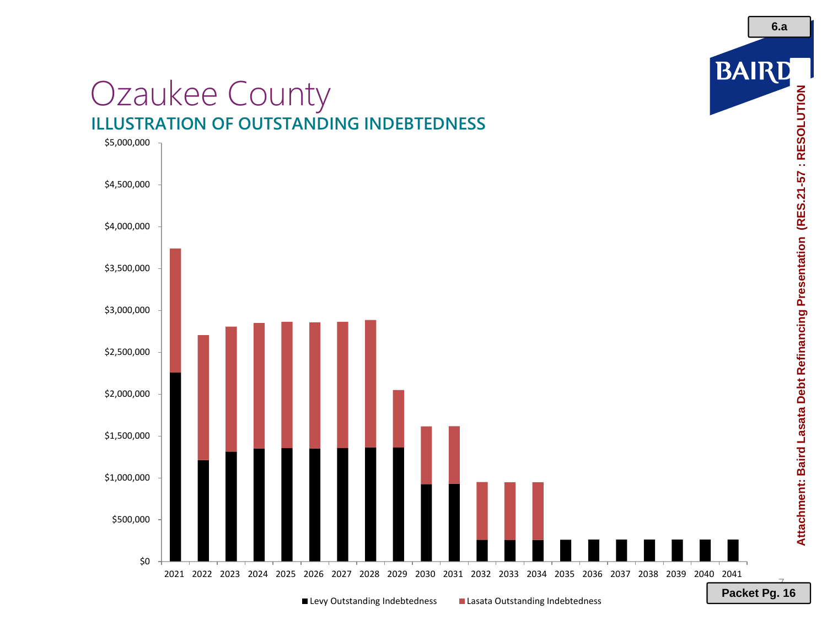# Ozaukee County **ILLUSTRATION OF OUTSTANDING INDEBTEDNESS**



■ Levy Outstanding Indebtedness ■ Lasata Outstanding Indebtedness

7 **Packet Pg. 16**

BAIRD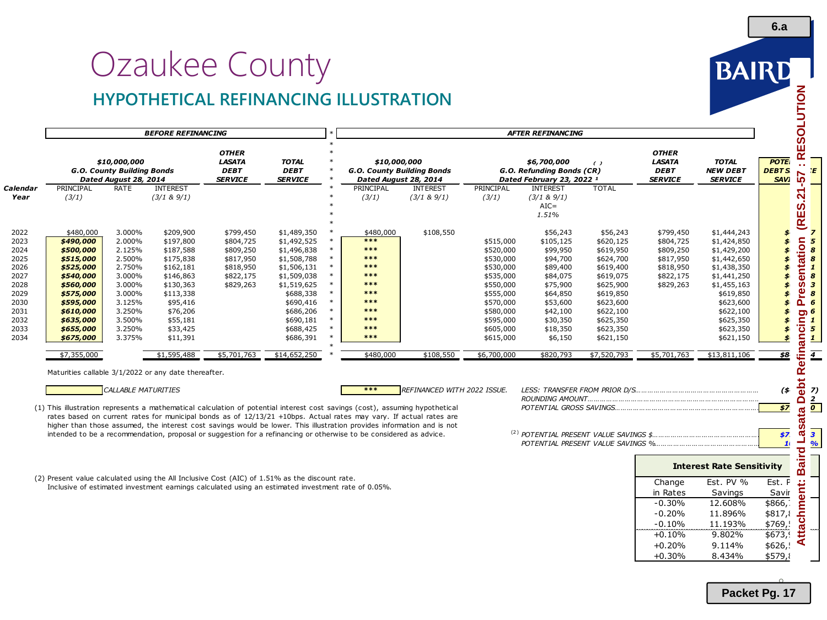# Ozaukee County **HYPOTHETICAL REFINANCING ILLUSTRATION**



|                                                                                                      |                                                                                                                                                                                      |                                                                                                                                | <b>BEFORE REFINANCING</b>                                                                                                                                                       |                                                                                                                                                                                                                                                                                                                                                                                                                                                                                                    |                                                                                                                                                                                                     |                                                                                                                      |                                                                                                              |                                |                                                                                                                                                                         | <b>AFTER REFINANCING</b>                                                                                                                                              |                                                                                                                                                                                     |                                                                                                        |                                                                                                                                                                                                     |                                                                                                                            |
|------------------------------------------------------------------------------------------------------|--------------------------------------------------------------------------------------------------------------------------------------------------------------------------------------|--------------------------------------------------------------------------------------------------------------------------------|---------------------------------------------------------------------------------------------------------------------------------------------------------------------------------|----------------------------------------------------------------------------------------------------------------------------------------------------------------------------------------------------------------------------------------------------------------------------------------------------------------------------------------------------------------------------------------------------------------------------------------------------------------------------------------------------|-----------------------------------------------------------------------------------------------------------------------------------------------------------------------------------------------------|----------------------------------------------------------------------------------------------------------------------|--------------------------------------------------------------------------------------------------------------|--------------------------------|-------------------------------------------------------------------------------------------------------------------------------------------------------------------------|-----------------------------------------------------------------------------------------------------------------------------------------------------------------------|-------------------------------------------------------------------------------------------------------------------------------------------------------------------------------------|--------------------------------------------------------------------------------------------------------|-----------------------------------------------------------------------------------------------------------------------------------------------------------------------------------------------------|----------------------------------------------------------------------------------------------------------------------------|
|                                                                                                      |                                                                                                                                                                                      | \$10,000,000<br>G.O. County Building Bonds<br>Dated August 28, 2014                                                            |                                                                                                                                                                                 | <b>OTHER</b><br><b>LASATA</b><br><b>DEBT</b><br><b>SERVICE</b>                                                                                                                                                                                                                                                                                                                                                                                                                                     | <b>TOTAL</b><br><b>DEBT</b><br><b>SERVICE</b>                                                                                                                                                       |                                                                                                                      | \$10,000,000<br>G.O. County Building Bonds<br>Dated August 28, 2014                                          |                                |                                                                                                                                                                         | \$6,700,000<br>G.O. Refunding Bonds (CR)<br>Dated February 23, 2022 <sup>1</sup>                                                                                      | $\epsilon$                                                                                                                                                                          | <b>OTHER</b><br><b>LASATA</b><br><b>DEBT</b><br><b>SERVICE</b>                                         | <b>TOTAL</b><br><b>NEW DEBT</b><br><b>SERVICE</b>                                                                                                                                                   | <b>POTE</b><br><b>DEBTS</b><br><b>SAVI</b>                                                                                 |
| Calendar<br>Year                                                                                     | PRINCIPAL<br>(3/1)                                                                                                                                                                   | RATE                                                                                                                           | <b>INTEREST</b><br>(3/1 & 8)9/1)                                                                                                                                                |                                                                                                                                                                                                                                                                                                                                                                                                                                                                                                    |                                                                                                                                                                                                     |                                                                                                                      | PRINCIPAL<br>(3/1)                                                                                           | <b>INTEREST</b><br>(3/1 & 9/1) | PRINCIPAL<br>(3/1)                                                                                                                                                      | <b>INTEREST</b><br>(3/1 & 8)9/1)<br>$AIC =$<br>1.51%                                                                                                                  | <b>TOTAL</b>                                                                                                                                                                        |                                                                                                        |                                                                                                                                                                                                     | I (RES.21                                                                                                                  |
| 2022<br>2023<br>2024<br>2025<br>2026<br>2027<br>2028<br>2029<br>2030<br>2031<br>2032<br>2033<br>2034 | \$480,000<br>\$490,000<br>\$500,000<br>\$515,000<br>\$525,000<br>\$540,000<br>\$560,000<br>\$575,000<br>\$595,000<br>\$610,000<br>\$635,000<br>\$655,000<br>\$675,000<br>\$7,355,000 | 3.000%<br>2.000%<br>2.125%<br>2.500%<br>2.750%<br>3.000%<br>3.000%<br>3.000%<br>3.125%<br>3.250%<br>3.500%<br>3.250%<br>3.375% | \$209,900<br>\$197,800<br>\$187,588<br>\$175,838<br>\$162,181<br>\$146,863<br>\$130,363<br>\$113,338<br>\$95,416<br>\$76,206<br>\$55,181<br>\$33,425<br>\$11,391<br>\$1,595,488 | \$799,450<br>\$804,725<br>\$809,250<br>\$817,950<br>\$818,950<br>\$822,175<br>\$829,263<br>\$5,701,763                                                                                                                                                                                                                                                                                                                                                                                             | \$1,489,350<br>\$1,492,525<br>\$1,496,838<br>\$1,508,788<br>\$1,506,131<br>\$1,509,038<br>\$1,519,625<br>\$688,338<br>\$690,416<br>\$686,206<br>\$690,181<br>\$688,425<br>\$686,391<br>\$14,652,250 | $\ast$<br>$\ast$<br>$\ast$<br>$\ast$<br>$\ast$<br>$\ast$<br>$\ast$<br>$\ast$<br>$\ast$<br>$\ast$<br>$\ast$<br>$\ast$ | \$480,000<br>***<br>***<br>***<br>***<br>***<br>***<br>***<br>$***$<br>***<br>***<br>***<br>***<br>\$480,000 | \$108,550<br>\$108,550         | \$515,000<br>\$520,000<br>\$530,000<br>\$530,000<br>\$535,000<br>\$550,000<br>\$555,000<br>\$570,000<br>\$580,000<br>\$595,000<br>\$605,000<br>\$615,000<br>\$6,700,000 | \$56,243<br>\$105,125<br>\$99,950<br>\$94,700<br>\$89,400<br>\$84,075<br>\$75,900<br>\$64,850<br>\$53,600<br>\$42,100<br>\$30,350<br>\$18,350<br>\$6,150<br>\$820,793 | \$56,243<br>\$620,125<br>\$619,950<br>\$624,700<br>\$619,400<br>\$619,075<br>\$625,900<br>\$619,850<br>\$623,600<br>\$622,100<br>\$625,350<br>\$623,350<br>\$621,150<br>\$7,520,793 | \$799,450<br>\$804,725<br>\$809,250<br>\$817,950<br>\$818,950<br>\$822,175<br>\$829,263<br>\$5,701,763 | \$1,444,243<br>\$1,424,850<br>\$1,429,200<br>\$1,442,650<br>\$1,438,350<br>\$1,441,250<br>\$1,455,163<br>\$619,850<br>\$623,600<br>\$622,100<br>\$625,350<br>\$623,350<br>\$621,150<br>\$13,811,106 | \$<br>$\boldsymbol{\mathcal{L}}$<br>\$<br>\$<br>\$<br>\$<br>\$<br>\$<br>\$<br>\$<br>$\boldsymbol{\mathcal{F}}$<br>\$<br>38 |
|                                                                                                      | Maturities callable 3/1/2022 or any date thereafter.                                                                                                                                 | <b>CALLABLE MATURITIES</b>                                                                                                     |                                                                                                                                                                                 |                                                                                                                                                                                                                                                                                                                                                                                                                                                                                                    |                                                                                                                                                                                                     |                                                                                                                      | ***                                                                                                          | REFINANCED WITH 2022 ISSUE.    |                                                                                                                                                                         |                                                                                                                                                                       |                                                                                                                                                                                     |                                                                                                        |                                                                                                                                                                                                     | $($ \$                                                                                                                     |
|                                                                                                      |                                                                                                                                                                                      |                                                                                                                                |                                                                                                                                                                                 | (1) This illustration represents a mathematical calculation of potential interest cost savings (cost), assuming hypothetical<br>rates based on current rates for municipal bonds as of 12/13/21 +10bps. Actual rates may vary. If actual rates are<br>higher than those assumed, the interest cost savings would be lower. This illustration provides information and is not<br>intended to be a recommendation, proposal or suggestion for a refinancing or otherwise to be considered as advice. |                                                                                                                                                                                                     |                                                                                                                      |                                                                                                              |                                |                                                                                                                                                                         |                                                                                                                                                                       |                                                                                                                                                                                     |                                                                                                        |                                                                                                                                                                                                     | 57<br>\$7<br>$\mathbf{1}$                                                                                                  |
|                                                                                                      |                                                                                                                                                                                      |                                                                                                                                |                                                                                                                                                                                 |                                                                                                                                                                                                                                                                                                                                                                                                                                                                                                    |                                                                                                                                                                                                     |                                                                                                                      |                                                                                                              |                                |                                                                                                                                                                         |                                                                                                                                                                       |                                                                                                                                                                                     |                                                                                                        | <b>Interest Rate Sensitivity</b>                                                                                                                                                                    |                                                                                                                            |
|                                                                                                      |                                                                                                                                                                                      |                                                                                                                                |                                                                                                                                                                                 | (2) Present value calculated using the All Inclusive Cost (AIC) of 1.51% as the discount rate.<br>Inclusive of estimated investment earnings calculated using an estimated investment rate of 0.05%.                                                                                                                                                                                                                                                                                               |                                                                                                                                                                                                     |                                                                                                                      |                                                                                                              |                                |                                                                                                                                                                         |                                                                                                                                                                       |                                                                                                                                                                                     | Change<br>in Rates<br>$-0.30%$<br>$-0.20%$<br>$-0.10%$<br>$+0.10%$                                     | Est. PV %<br>Savings<br>12.608%<br>11.896%<br>11.193%<br>9.802%                                                                                                                                     | Est. F<br>Savir<br>\$866,<br>\$817,<br>\$769,<br>\$673,                                                                    |

+0.30% 8.434% \$579,8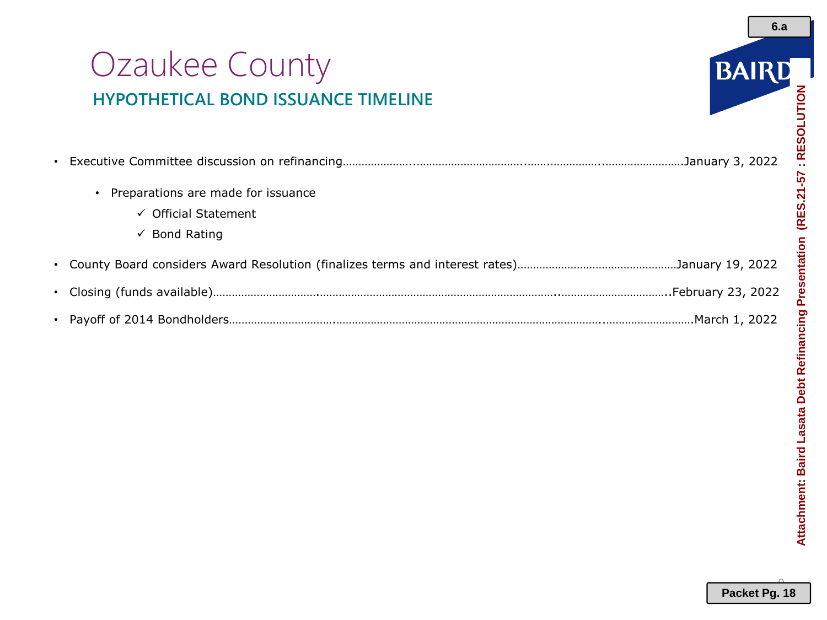# Ozaukee County **HYPOTHETICAL BOND ISSUANCE TIMELINE**



**6.a**

| Preparations are made for issuance |  |
|------------------------------------|--|
| $\checkmark$ Official Statement    |  |
| $\checkmark$ Bond Rating           |  |
|                                    |  |
|                                    |  |
|                                    |  |